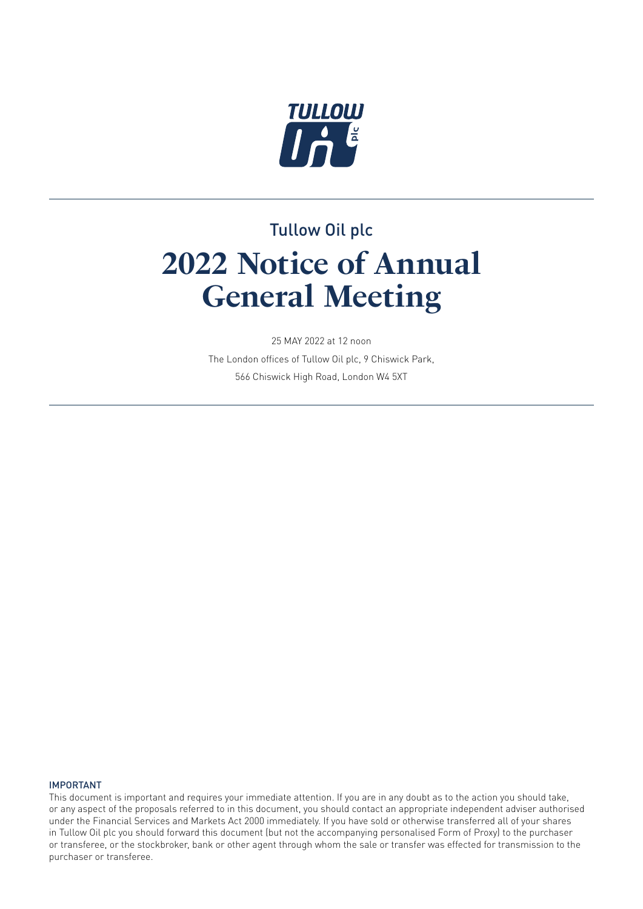

# Tullow Oil plc **2022 Notice of Annual General Meeting**

25 MAY 2022 at 12 noon The London offices of Tullow Oil plc, 9 Chiswick Park, 566 Chiswick High Road, London W4 5XT

#### IMPORTANT

This document is important and requires your immediate attention. If you are in any doubt as to the action you should take, or any aspect of the proposals referred to in this document, you should contact an appropriate independent adviser authorised under the Financial Services and Markets Act 2000 immediately. If you have sold or otherwise transferred all of your shares in Tullow Oil plc you should forward this document (but not the accompanying personalised Form of Proxy) to the purchaser or transferee, or the stockbroker, bank or other agent through whom the sale or transfer was effected for transmission to the purchaser or transferee.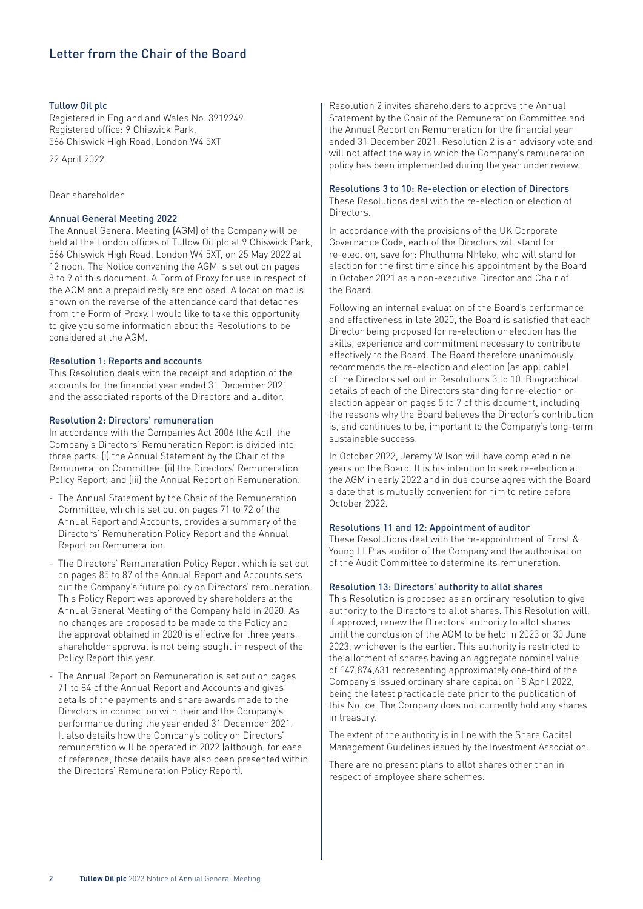## Letter from the Chair of the Board

#### Tullow Oil plc

Registered in England and Wales No. 3919249 Registered office: 9 Chiswick Park, 566 Chiswick High Road, London W4 5XT

22 April 2022

#### Dear shareholder

#### Annual General Meeting 2022

The Annual General Meeting (AGM) of the Company will be held at the London offices of Tullow Oil plc at 9 Chiswick Park, 566 Chiswick High Road, London W4 5XT, on 25 May 2022 at 12 noon. The Notice convening the AGM is set out on pages 8 to 9 of this document. A Form of Proxy for use in respect of the AGM and a prepaid reply are enclosed. A location map is shown on the reverse of the attendance card that detaches from the Form of Proxy. I would like to take this opportunity to give you some information about the Resolutions to be considered at the AGM.

#### Resolution 1: Reports and accounts

This Resolution deals with the receipt and adoption of the accounts for the financial year ended 31 December 2021 and the associated reports of the Directors and auditor.

#### Resolution 2: Directors' remuneration

In accordance with the Companies Act 2006 (the Act), the Company's Directors' Remuneration Report is divided into three parts: (i) the Annual Statement by the Chair of the Remuneration Committee; (ii) the Directors' Remuneration Policy Report; and (iii) the Annual Report on Remuneration.

- The Annual Statement by the Chair of the Remuneration Committee, which is set out on pages 71 to 72 of the Annual Report and Accounts, provides a summary of the Directors' Remuneration Policy Report and the Annual Report on Remuneration.
- The Directors' Remuneration Policy Report which is set out on pages 85 to 87 of the Annual Report and Accounts sets out the Company's future policy on Directors' remuneration. This Policy Report was approved by shareholders at the Annual General Meeting of the Company held in 2020. As no changes are proposed to be made to the Policy and the approval obtained in 2020 is effective for three years, shareholder approval is not being sought in respect of the Policy Report this year.
- The Annual Report on Remuneration is set out on pages 71 to 84 of the Annual Report and Accounts and gives details of the payments and share awards made to the Directors in connection with their and the Company's performance during the year ended 31 December 2021. It also details how the Company's policy on Directors' remuneration will be operated in 2022 (although, for ease of reference, those details have also been presented within the Directors' Remuneration Policy Report).

Resolution 2 invites shareholders to approve the Annual Statement by the Chair of the Remuneration Committee and the Annual Report on Remuneration for the financial year ended 31 December 2021. Resolution 2 is an advisory vote and will not affect the way in which the Company's remuneration policy has been implemented during the year under review.

#### Resolutions 3 to 10: Re-election or election of Directors

These Resolutions deal with the re-election or election of **Directors** 

In accordance with the provisions of the UK Corporate Governance Code, each of the Directors will stand for re-election, save for: Phuthuma Nhleko, who will stand for election for the first time since his appointment by the Board in October 2021 as a non-executive Director and Chair of the Board.

Following an internal evaluation of the Board's performance and effectiveness in late 2020, the Board is satisfied that each Director being proposed for re-election or election has the skills, experience and commitment necessary to contribute effectively to the Board. The Board therefore unanimously recommends the re-election and election (as applicable) of the Directors set out in Resolutions 3 to 10. Biographical details of each of the Directors standing for re-election or election appear on pages 5 to 7 of this document, including the reasons why the Board believes the Director's contribution is, and continues to be, important to the Company's long-term sustainable success.

In October 2022, Jeremy Wilson will have completed nine years on the Board. It is his intention to seek re-election at the AGM in early 2022 and in due course agree with the Board a date that is mutually convenient for him to retire before October 2022.

#### Resolutions 11 and 12: Appointment of auditor

These Resolutions deal with the re-appointment of Ernst & Young LLP as auditor of the Company and the authorisation of the Audit Committee to determine its remuneration.

#### Resolution 13: Directors' authority to allot shares

This Resolution is proposed as an ordinary resolution to give authority to the Directors to allot shares. This Resolution will, if approved, renew the Directors' authority to allot shares until the conclusion of the AGM to be held in 2023 or 30 June 2023, whichever is the earlier. This authority is restricted to the allotment of shares having an aggregate nominal value of £47,874,631 representing approximately one-third of the Company's issued ordinary share capital on 18 April 2022, being the latest practicable date prior to the publication of this Notice. The Company does not currently hold any shares in treasury.

The extent of the authority is in line with the Share Capital Management Guidelines issued by the Investment Association.

There are no present plans to allot shares other than in respect of employee share schemes.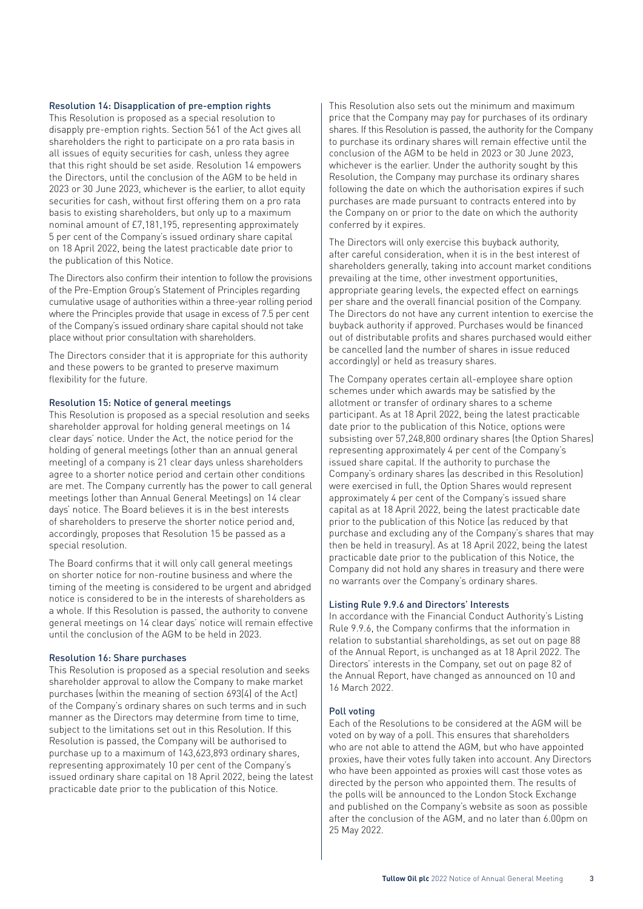#### Resolution 14: Disapplication of pre-emption rights

This Resolution is proposed as a special resolution to disapply pre-emption rights. Section 561 of the Act gives all shareholders the right to participate on a pro rata basis in all issues of equity securities for cash, unless they agree that this right should be set aside. Resolution 14 empowers the Directors, until the conclusion of the AGM to be held in 2023 or 30 June 2023, whichever is the earlier, to allot equity securities for cash, without first offering them on a pro rata basis to existing shareholders, but only up to a maximum nominal amount of £7,181,195, representing approximately 5 per cent of the Company's issued ordinary share capital on 18 April 2022, being the latest practicable date prior to the publication of this Notice.

The Directors also confirm their intention to follow the provisions of the Pre-Emption Group's Statement of Principles regarding cumulative usage of authorities within a three-year rolling period where the Principles provide that usage in excess of 7.5 per cent of the Company's issued ordinary share capital should not take place without prior consultation with shareholders.

The Directors consider that it is appropriate for this authority and these powers to be granted to preserve maximum flexibility for the future.

#### Resolution 15: Notice of general meetings

This Resolution is proposed as a special resolution and seeks shareholder approval for holding general meetings on 14 clear days' notice. Under the Act, the notice period for the holding of general meetings (other than an annual general meeting) of a company is 21 clear days unless shareholders agree to a shorter notice period and certain other conditions are met. The Company currently has the power to call general meetings (other than Annual General Meetings) on 14 clear days' notice. The Board believes it is in the best interests of shareholders to preserve the shorter notice period and, accordingly, proposes that Resolution 15 be passed as a special resolution.

The Board confirms that it will only call general meetings on shorter notice for non-routine business and where the timing of the meeting is considered to be urgent and abridged notice is considered to be in the interests of shareholders as a whole. If this Resolution is passed, the authority to convene general meetings on 14 clear days' notice will remain effective until the conclusion of the AGM to be held in 2023.

#### Resolution 16: Share purchases

This Resolution is proposed as a special resolution and seeks shareholder approval to allow the Company to make market purchases (within the meaning of section 693(4) of the Act) of the Company's ordinary shares on such terms and in such manner as the Directors may determine from time to time, subject to the limitations set out in this Resolution. If this Resolution is passed, the Company will be authorised to purchase up to a maximum of 143,623,893 ordinary shares, representing approximately 10 per cent of the Company's issued ordinary share capital on 18 April 2022, being the latest practicable date prior to the publication of this Notice.

This Resolution also sets out the minimum and maximum price that the Company may pay for purchases of its ordinary shares. If this Resolution is passed, the authority for the Company to purchase its ordinary shares will remain effective until the conclusion of the AGM to be held in 2023 or 30 June 2023, whichever is the earlier. Under the authority sought by this Resolution, the Company may purchase its ordinary shares following the date on which the authorisation expires if such purchases are made pursuant to contracts entered into by the Company on or prior to the date on which the authority conferred by it expires.

The Directors will only exercise this buyback authority, after careful consideration, when it is in the best interest of shareholders generally, taking into account market conditions prevailing at the time, other investment opportunities, appropriate gearing levels, the expected effect on earnings per share and the overall financial position of the Company. The Directors do not have any current intention to exercise the buyback authority if approved. Purchases would be financed out of distributable profits and shares purchased would either be cancelled (and the number of shares in issue reduced accordingly) or held as treasury shares.

The Company operates certain all-employee share option schemes under which awards may be satisfied by the allotment or transfer of ordinary shares to a scheme participant. As at 18 April 2022, being the latest practicable date prior to the publication of this Notice, options were subsisting over 57,248,800 ordinary shares (the Option Shares) representing approximately 4 per cent of the Company's issued share capital. If the authority to purchase the Company's ordinary shares (as described in this Resolution) were exercised in full, the Option Shares would represent approximately 4 per cent of the Company's issued share capital as at 18 April 2022, being the latest practicable date prior to the publication of this Notice (as reduced by that purchase and excluding any of the Company's shares that may then be held in treasury). As at 18 April 2022, being the latest practicable date prior to the publication of this Notice, the Company did not hold any shares in treasury and there were no warrants over the Company's ordinary shares.

#### Listing Rule 9.9.6 and Directors' Interests

In accordance with the Financial Conduct Authority's Listing Rule 9.9.6, the Company confirms that the information in relation to substantial shareholdings, as set out on page 88 of the Annual Report, is unchanged as at 18 April 2022. The Directors' interests in the Company, set out on page 82 of the Annual Report, have changed as announced on 10 and 16 March 2022.

#### Poll voting

Each of the Resolutions to be considered at the AGM will be voted on by way of a poll. This ensures that shareholders who are not able to attend the AGM, but who have appointed proxies, have their votes fully taken into account. Any Directors who have been appointed as proxies will cast those votes as directed by the person who appointed them. The results of the polls will be announced to the London Stock Exchange and published on the Company's website as soon as possible after the conclusion of the AGM, and no later than 6.00pm on 25 May 2022.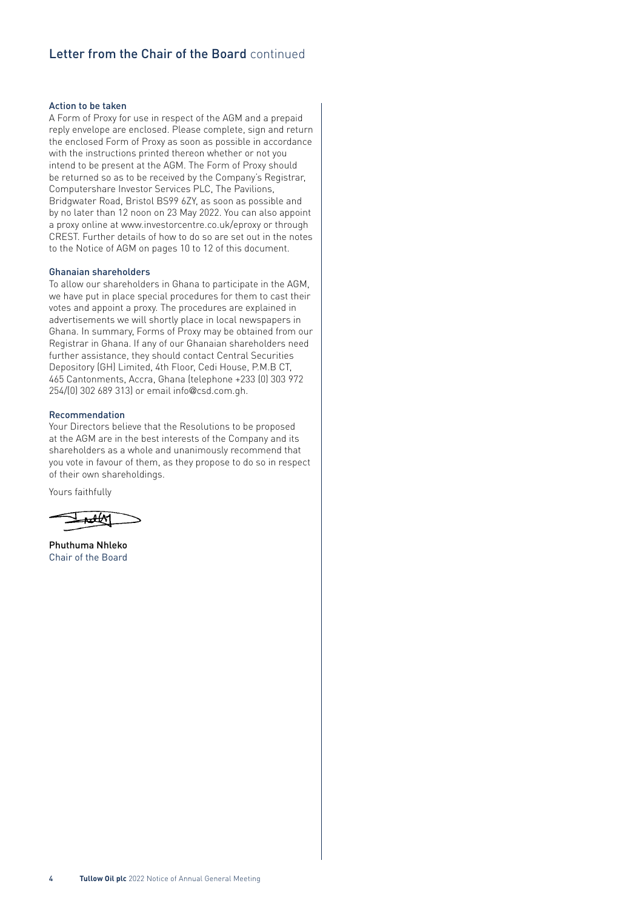### Letter from the Chair of the Board continued

#### Action to be taken

A Form of Proxy for use in respect of the AGM and a prepaid reply envelope are enclosed. Please complete, sign and return the enclosed Form of Proxy as soon as possible in accordance with the instructions printed thereon whether or not you intend to be present at the AGM. The Form of Proxy should be returned so as to be received by the Company's Registrar, Computershare Investor Services PLC, The Pavilions, Bridgwater Road, Bristol BS99 6ZY, as soon as possible and by no later than 12 noon on 23 May 2022. You can also appoint a proxy online at www.investorcentre.co.uk/eproxy or through CREST. Further details of how to do so are set out in the notes to the Notice of AGM on pages 10 to 12 of this document.

#### Ghanaian shareholders

To allow our shareholders in Ghana to participate in the AGM, we have put in place special procedures for them to cast their votes and appoint a proxy. The procedures are explained in advertisements we will shortly place in local newspapers in Ghana. In summary, Forms of Proxy may be obtained from our Registrar in Ghana. If any of our Ghanaian shareholders need further assistance, they should contact Central Securities Depository (GH) Limited, 4th Floor, Cedi House, P.M.B CT, 465 Cantonments, Accra, Ghana (telephone +233 (0) 303 972 254/(0) 302 689 313) or email info@csd.com.gh.

#### Recommendation

Your Directors believe that the Resolutions to be proposed at the AGM are in the best interests of the Company and its shareholders as a whole and unanimously recommend that you vote in favour of them, as they propose to do so in respect of their own shareholdings.

Yours faithfully

<del>nek</del>M

Phuthuma Nhleko Chair of the Board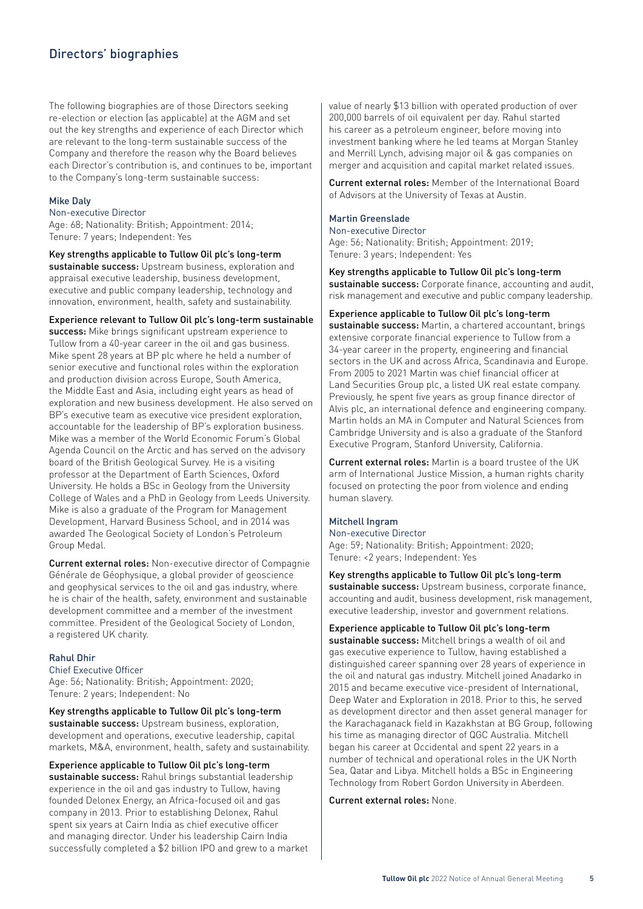# Directors' biographies

The following biographies are of those Directors seeking re-election or election (as applicable) at the AGM and set out the key strengths and experience of each Director which are relevant to the long-term sustainable success of the Company and therefore the reason why the Board believes each Director's contribution is, and continues to be, important to the Company's long-term sustainable success:

#### Mike Daly

Non-executive Director

Age: 68; Nationality: British; Appointment: 2014; Tenure: 7 years; Independent: Yes

#### Key strengths applicable to Tullow Oil plc's long-term

sustainable success: Upstream business, exploration and appraisal executive leadership, business development, executive and public company leadership, technology and innovation, environment, health, safety and sustainability.

#### Experience relevant to Tullow Oil plc's long-term sustainable

success: Mike brings significant upstream experience to Tullow from a 40-year career in the oil and gas business. Mike spent 28 years at BP plc where he held a number of senior executive and functional roles within the exploration and production division across Europe, South America, the Middle East and Asia, including eight years as head of exploration and new business development. He also served on BP's executive team as executive vice president exploration, accountable for the leadership of BP's exploration business. Mike was a member of the World Economic Forum's Global Agenda Council on the Arctic and has served on the advisory board of the British Geological Survey. He is a visiting professor at the Department of Earth Sciences, Oxford University. He holds a BSc in Geology from the University College of Wales and a PhD in Geology from Leeds University. Mike is also a graduate of the Program for Management Development, Harvard Business School, and in 2014 was awarded The Geological Society of London's Petroleum Group Medal.

Current external roles: Non-executive director of Compagnie Générale de Géophysique, a global provider of geoscience and geophysical services to the oil and gas industry, where he is chair of the health, safety, environment and sustainable development committee and a member of the investment committee. President of the Geological Society of London, a registered UK charity.

#### Rahul Dhir

Chief Executive Officer Age: 56; Nationality: British; Appointment: 2020; Tenure: 2 years; Independent: No

#### Key strengths applicable to Tullow Oil plc's long-term

sustainable success: Upstream business, exploration, development and operations, executive leadership, capital markets, M&A, environment, health, safety and sustainability.

# Experience applicable to Tullow Oil plc's long-term

sustainable success: Rahul brings substantial leadership experience in the oil and gas industry to Tullow, having founded Delonex Energy, an Africa-focused oil and gas company in 2013. Prior to establishing Delonex, Rahul spent six years at Cairn India as chief executive officer and managing director. Under his leadership Cairn India successfully completed a \$2 billion IPO and grew to a market value of nearly \$13 billion with operated production of over 200,000 barrels of oil equivalent per day. Rahul started his career as a petroleum engineer, before moving into investment banking where he led teams at Morgan Stanley and Merrill Lynch, advising major oil & gas companies on merger and acquisition and capital market related issues.

Current external roles: Member of the International Board of Advisors at the University of Texas at Austin.

#### Martin Greenslade

Non-executive Director Age: 56; Nationality: British; Appointment: 2019; Tenure: 3 years; Independent: Yes

Key strengths applicable to Tullow Oil plc's long-term sustainable success: Corporate finance, accounting and audit, risk management and executive and public company leadership.

Experience applicable to Tullow Oil plc's long-term sustainable success: Martin, a chartered accountant, brings extensive corporate financial experience to Tullow from a 34-year career in the property, engineering and financial sectors in the UK and across Africa, Scandinavia and Europe. From 2005 to 2021 Martin was chief financial officer at Land Securities Group plc, a listed UK real estate company. Previously, he spent five years as group finance director of Alvis plc, an international defence and engineering company. Martin holds an MA in Computer and Natural Sciences from Cambridge University and is also a graduate of the Stanford Executive Program, Stanford University, California.

Current external roles: Martin is a board trustee of the UK arm of International Justice Mission, a human rights charity focused on protecting the poor from violence and ending human slavery.

#### Mitchell Ingram

Non-executive Director

Age: 59; Nationality: British; Appointment: 2020; Tenure: <2 years; Independent: Yes

Key strengths applicable to Tullow Oil plc's long-term sustainable success: Upstream business, corporate finance, accounting and audit, business development, risk management, executive leadership, investor and government relations.

#### Experience applicable to Tullow Oil plc's long-term

sustainable success: Mitchell brings a wealth of oil and gas executive experience to Tullow, having established a distinguished career spanning over 28 years of experience in the oil and natural gas industry. Mitchell joined Anadarko in 2015 and became executive vice-president of International, Deep Water and Exploration in 2018. Prior to this, he served as development director and then asset general manager for the Karachaganack field in Kazakhstan at BG Group, following his time as managing director of QGC Australia. Mitchell began his career at Occidental and spent 22 years in a number of technical and operational roles in the UK North Sea, Qatar and Libya. Mitchell holds a BSc in Engineering Technology from Robert Gordon University in Aberdeen.

#### Current external roles: None.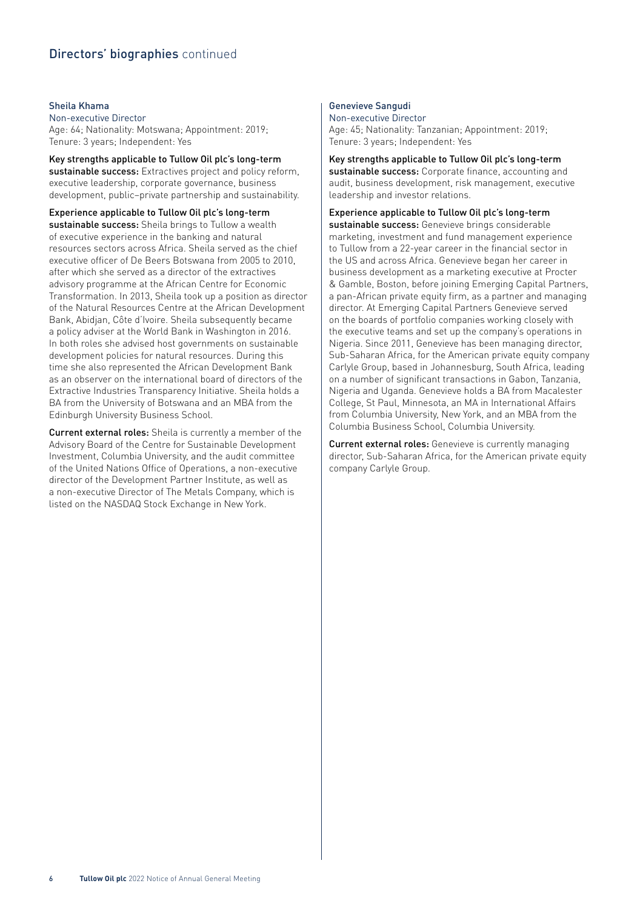# Directors' biographies continued

#### Sheila Khama

Non-executive Director Age: 64; Nationality: Motswana; Appointment: 2019; Tenure: 3 years; Independent: Yes

Key strengths applicable to Tullow Oil plc's long-term sustainable success: Extractives project and policy reform, executive leadership, corporate governance, business development, public–private partnership and sustainability.

Experience applicable to Tullow Oil plc's long-term sustainable success: Sheila brings to Tullow a wealth of executive experience in the banking and natural resources sectors across Africa. Sheila served as the chief executive officer of De Beers Botswana from 2005 to 2010, after which she served as a director of the extractives advisory programme at the African Centre for Economic Transformation. In 2013, Sheila took up a position as director of the Natural Resources Centre at the African Development Bank, Abidjan, Côte d'Ivoire. Sheila subsequently became a policy adviser at the World Bank in Washington in 2016. In both roles she advised host governments on sustainable development policies for natural resources. During this time she also represented the African Development Bank as an observer on the international board of directors of the Extractive Industries Transparency Initiative. Sheila holds a BA from the University of Botswana and an MBA from the Edinburgh University Business School.

Current external roles: Sheila is currently a member of the Advisory Board of the Centre for Sustainable Development Investment, Columbia University, and the audit committee of the United Nations Office of Operations, a non-executive director of the Development Partner Institute, as well as a non-executive Director of The Metals Company, which is listed on the NASDAQ Stock Exchange in New York.

#### Genevieve Sangudi

Non-executive Director Age: 45; Nationality: Tanzanian; Appointment: 2019; Tenure: 3 years; Independent: Yes

Key strengths applicable to Tullow Oil plc's long-term sustainable success: Corporate finance, accounting and audit, business development, risk management, executive leadership and investor relations.

Experience applicable to Tullow Oil plc's long-term sustainable success: Genevieve brings considerable

marketing, investment and fund management experience to Tullow from a 22-year career in the financial sector in the US and across Africa. Genevieve began her career in business development as a marketing executive at Procter & Gamble, Boston, before joining Emerging Capital Partners, a pan-African private equity firm, as a partner and managing director. At Emerging Capital Partners Genevieve served on the boards of portfolio companies working closely with the executive teams and set up the company's operations in Nigeria. Since 2011, Genevieve has been managing director, Sub-Saharan Africa, for the American private equity company Carlyle Group, based in Johannesburg, South Africa, leading on a number of significant transactions in Gabon, Tanzania, Nigeria and Uganda. Genevieve holds a BA from Macalester College, St Paul, Minnesota, an MA in International Affairs from Columbia University, New York, and an MBA from the Columbia Business School, Columbia University.

Current external roles: Genevieve is currently managing director, Sub-Saharan Africa, for the American private equity company Carlyle Group.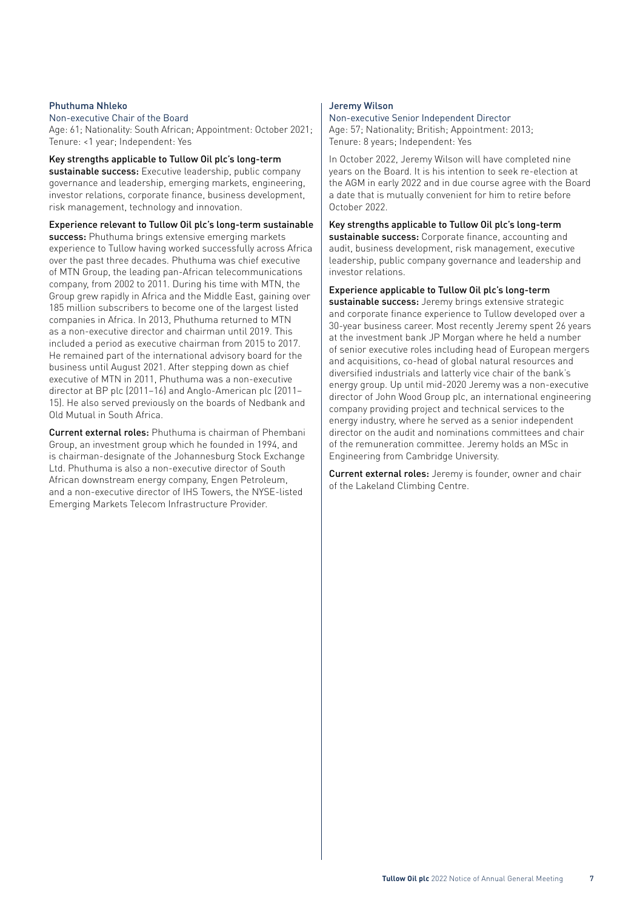#### Phuthuma Nhleko

Non-executive Chair of the Board

Age: 61; Nationality: South African; Appointment: October 2021; Tenure: <1 year; Independent: Yes

Key strengths applicable to Tullow Oil plc's long-term sustainable success: Executive leadership, public company governance and leadership, emerging markets, engineering, investor relations, corporate finance, business development, risk management, technology and innovation.

Experience relevant to Tullow Oil plc's long-term sustainable success: Phuthuma brings extensive emerging markets experience to Tullow having worked successfully across Africa over the past three decades. Phuthuma was chief executive of MTN Group, the leading pan-African telecommunications company, from 2002 to 2011. During his time with MTN, the Group grew rapidly in Africa and the Middle East, gaining over 185 million subscribers to become one of the largest listed companies in Africa. In 2013, Phuthuma returned to MTN as a non-executive director and chairman until 2019. This included a period as executive chairman from 2015 to 2017. He remained part of the international advisory board for the business until August 2021. After stepping down as chief executive of MTN in 2011, Phuthuma was a non-executive director at BP plc (2011–16) and Anglo-American plc (2011– 15). He also served previously on the boards of Nedbank and Old Mutual in South Africa.

Current external roles: Phuthuma is chairman of Phembani Group, an investment group which he founded in 1994, and is chairman-designate of the Johannesburg Stock Exchange Ltd. Phuthuma is also a non-executive director of South African downstream energy company, Engen Petroleum, and a non-executive director of IHS Towers, the NYSE-listed Emerging Markets Telecom Infrastructure Provider.

#### Jeremy Wilson

Non-executive Senior Independent Director Age: 57; Nationality; British; Appointment: 2013; Tenure: 8 years; Independent: Yes

In October 2022, Jeremy Wilson will have completed nine years on the Board. It is his intention to seek re-election at the AGM in early 2022 and in due course agree with the Board a date that is mutually convenient for him to retire before October 2022.

Key strengths applicable to Tullow Oil plc's long-term

sustainable success: Corporate finance, accounting and audit, business development, risk management, executive leadership, public company governance and leadership and investor relations.

Experience applicable to Tullow Oil plc's long-term

sustainable success: Jeremy brings extensive strategic and corporate finance experience to Tullow developed over a 30-year business career. Most recently Jeremy spent 26 years at the investment bank JP Morgan where he held a number of senior executive roles including head of European mergers and acquisitions, co-head of global natural resources and diversified industrials and latterly vice chair of the bank's energy group. Up until mid-2020 Jeremy was a non-executive director of John Wood Group plc, an international engineering company providing project and technical services to the energy industry, where he served as a senior independent director on the audit and nominations committees and chair of the remuneration committee. Jeremy holds an MSc in Engineering from Cambridge University.

Current external roles: Jeremy is founder, owner and chair of the Lakeland Climbing Centre.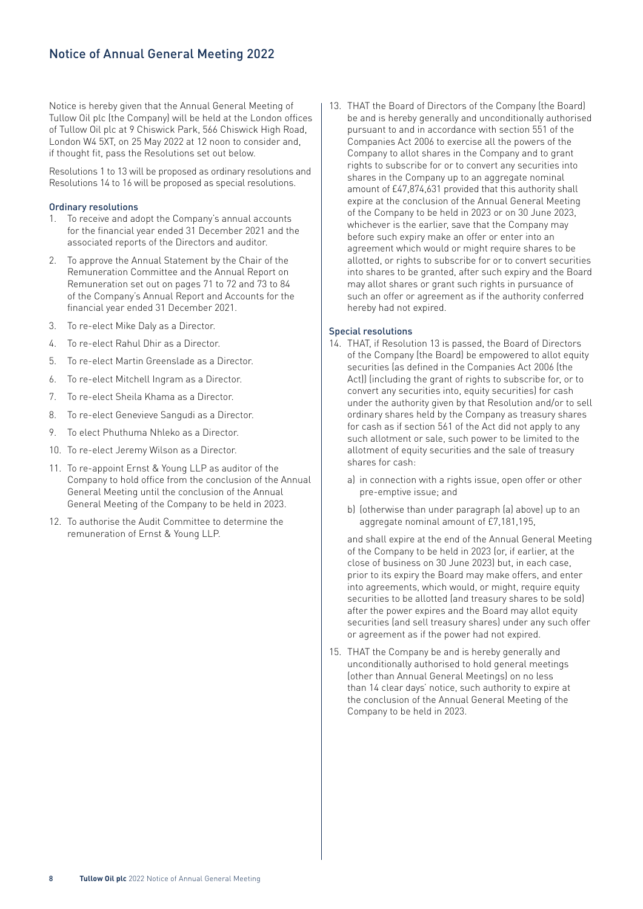Notice is hereby given that the Annual General Meeting of Tullow Oil plc (the Company) will be held at the London offices of Tullow Oil plc at 9 Chiswick Park, 566 Chiswick High Road, London W4 5XT, on 25 May 2022 at 12 noon to consider and, if thought fit, pass the Resolutions set out below.

Resolutions 1 to 13 will be proposed as ordinary resolutions and Resolutions 14 to 16 will be proposed as special resolutions.

#### Ordinary resolutions

- 1. To receive and adopt the Company's annual accounts for the financial year ended 31 December 2021 and the associated reports of the Directors and auditor.
- 2. To approve the Annual Statement by the Chair of the Remuneration Committee and the Annual Report on Remuneration set out on pages 71 to 72 and 73 to 84 of the Company's Annual Report and Accounts for the financial year ended 31 December 2021.
- 3. To re-elect Mike Daly as a Director.
- 4. To re-elect Rahul Dhir as a Director.
- 5. To re-elect Martin Greenslade as a Director.
- 6. To re-elect Mitchell Ingram as a Director.
- 7. To re-elect Sheila Khama as a Director.
- 8. To re-elect Genevieve Sangudi as a Director.
- 9. To elect Phuthuma Nhleko as a Director.
- 10. To re-elect Jeremy Wilson as a Director.
- 11. To re-appoint Ernst & Young LLP as auditor of the Company to hold office from the conclusion of the Annual General Meeting until the conclusion of the Annual General Meeting of the Company to be held in 2023.
- 12. To authorise the Audit Committee to determine the remuneration of Ernst & Young LLP.

13. THAT the Board of Directors of the Company (the Board) be and is hereby generally and unconditionally authorised pursuant to and in accordance with section 551 of the Companies Act 2006 to exercise all the powers of the Company to allot shares in the Company and to grant rights to subscribe for or to convert any securities into shares in the Company up to an aggregate nominal amount of £47,874,631 provided that this authority shall expire at the conclusion of the Annual General Meeting of the Company to be held in 2023 or on 30 June 2023, whichever is the earlier, save that the Company may before such expiry make an offer or enter into an agreement which would or might require shares to be allotted, or rights to subscribe for or to convert securities into shares to be granted, after such expiry and the Board may allot shares or grant such rights in pursuance of such an offer or agreement as if the authority conferred hereby had not expired.

#### Special resolutions

- 14. THAT, if Resolution 13 is passed, the Board of Directors of the Company (the Board) be empowered to allot equity securities (as defined in the Companies Act 2006 (the Act)) (including the grant of rights to subscribe for, or to convert any securities into, equity securities) for cash under the authority given by that Resolution and/or to sell ordinary shares held by the Company as treasury shares for cash as if section 561 of the Act did not apply to any such allotment or sale, such power to be limited to the allotment of equity securities and the sale of treasury shares for cash:
	- a) in connection with a rights issue, open offer or other pre-emptive issue; and
	- b) (otherwise than under paragraph (a) above) up to an aggregate nominal amount of £7,181,195,

 and shall expire at the end of the Annual General Meeting of the Company to be held in 2023 (or, if earlier, at the close of business on 30 June 2023) but, in each case, prior to its expiry the Board may make offers, and enter into agreements, which would, or might, require equity securities to be allotted (and treasury shares to be sold) after the power expires and the Board may allot equity securities (and sell treasury shares) under any such offer or agreement as if the power had not expired.

15. THAT the Company be and is hereby generally and unconditionally authorised to hold general meetings (other than Annual General Meetings) on no less than 14 clear days' notice, such authority to expire at the conclusion of the Annual General Meeting of the Company to be held in 2023.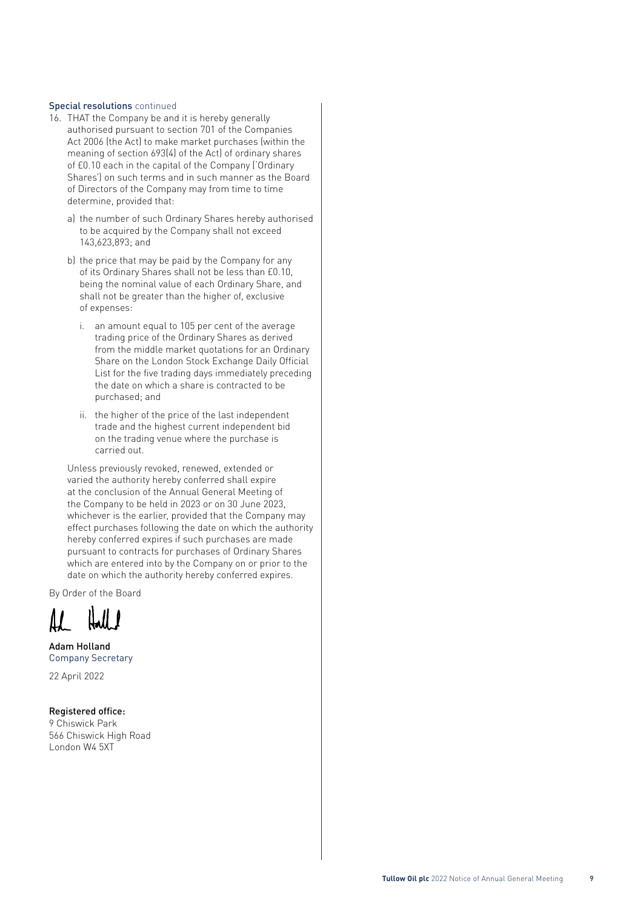#### Special resolutions continued

- 16. THAT the Company be and it is hereby generally authorised pursuant to section 701 of the Companies Act 2006 (the Act) to make market purchases (within the meaning of section 693(4) of the Act) of ordinary shares of £0.10 each in the capital of the Company ('Ordinary Shares') on such terms and in such manner as the Board of Directors of the Company may from time to time determine, provided that:
	- a) the number of such Ordinary Shares hereby authorised to be acquired by the Company shall not exceed 143,623,893; and
	- b) the price that may be paid by the Company for any of its Ordinary Shares shall not be less than £0.10, being the nominal value of each Ordinary Share, and shall not be greater than the higher of, exclusive of expenses:
		- i. an amount equal to 105 per cent of the average trading price of the Ordinary Shares as derived from the middle market quotations for an Ordinary Share on the London Stock Exchange Daily Official List for the five trading days immediately preceding the date on which a share is contracted to be purchased; and
		- ii. the higher of the price of the last independent trade and the highest current independent bid on the trading venue where the purchase is carried out.

 Unless previously revoked, renewed, extended or varied the authority hereby conferred shall expire at the conclusion of the Annual General Meeting of the Company to be held in 2023 or on 30 June 2023, whichever is the earlier, provided that the Company may effect purchases following the date on which the authority hereby conferred expires if such purchases are made pursuant to contracts for purchases of Ordinary Shares which are entered into by the Company on or prior to the date on which the authority hereby conferred expires.

By Order of the Board

Adam Holland Company Secretary

22 April 2022

#### Registered office:

9 Chiswick Park 566 Chiswick High Road London W4 5XT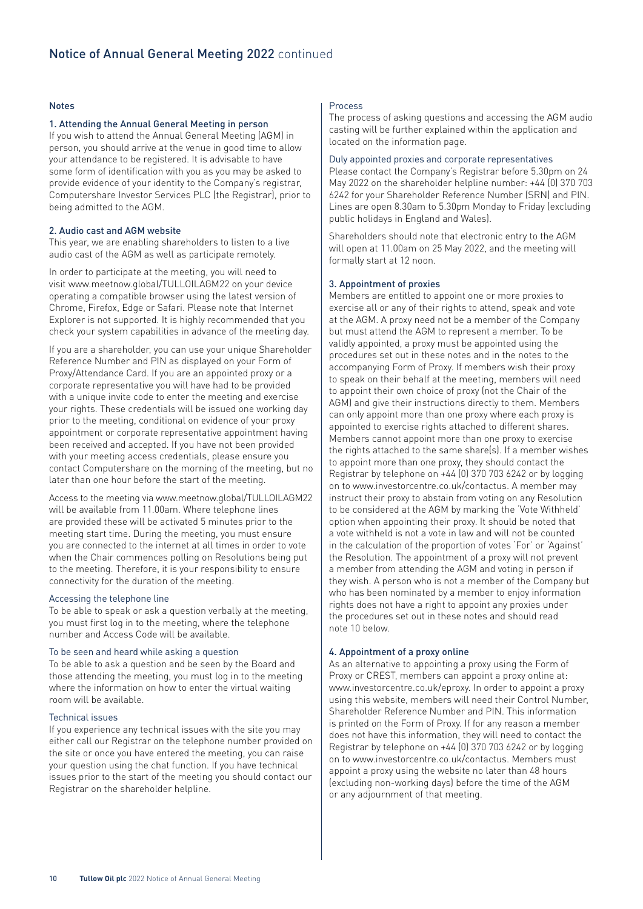#### Notes

#### 1. Attending the Annual General Meeting in person

If you wish to attend the Annual General Meeting (AGM) in person, you should arrive at the venue in good time to allow your attendance to be registered. It is advisable to have some form of identification with you as you may be asked to provide evidence of your identity to the Company's registrar, Computershare Investor Services PLC (the Registrar), prior to being admitted to the AGM.

#### 2. Audio cast and AGM website

This year, we are enabling shareholders to listen to a live audio cast of the AGM as well as participate remotely.

In order to participate at the meeting, you will need to visit www.meetnow.global/TULLOILAGM22 on your device operating a compatible browser using the latest version of Chrome, Firefox, Edge or Safari. Please note that Internet Explorer is not supported. It is highly recommended that you check your system capabilities in advance of the meeting day.

If you are a shareholder, you can use your unique Shareholder Reference Number and PIN as displayed on your Form of Proxy/Attendance Card. If you are an appointed proxy or a corporate representative you will have had to be provided with a unique invite code to enter the meeting and exercise your rights. These credentials will be issued one working day prior to the meeting, conditional on evidence of your proxy appointment or corporate representative appointment having been received and accepted. If you have not been provided with your meeting access credentials, please ensure you contact Computershare on the morning of the meeting, but no later than one hour before the start of the meeting.

Access to the meeting via www.meetnow.global/TULLOILAGM22 will be available from 11.00am. Where telephone lines are provided these will be activated 5 minutes prior to the meeting start time. During the meeting, you must ensure you are connected to the internet at all times in order to vote when the Chair commences polling on Resolutions being put to the meeting. Therefore, it is your responsibility to ensure connectivity for the duration of the meeting.

#### Accessing the telephone line

To be able to speak or ask a question verbally at the meeting, you must first log in to the meeting, where the telephone number and Access Code will be available.

#### To be seen and heard while asking a question

To be able to ask a question and be seen by the Board and those attending the meeting, you must log in to the meeting where the information on how to enter the virtual waiting room will be available.

#### Technical issues

If you experience any technical issues with the site you may either call our Registrar on the telephone number provided on the site or once you have entered the meeting, you can raise your question using the chat function. If you have technical issues prior to the start of the meeting you should contact our Registrar on the shareholder helpline.

#### Process

The process of asking questions and accessing the AGM audio casting will be further explained within the application and located on the information page.

#### Duly appointed proxies and corporate representatives

Please contact the Company's Registrar before 5.30pm on 24 May 2022 on the shareholder helpline number: +44 (0) 370 703 6242 for your Shareholder Reference Number (SRN) and PIN. Lines are open 8.30am to 5.30pm Monday to Friday (excluding public holidays in England and Wales).

Shareholders should note that electronic entry to the AGM will open at 11.00am on 25 May 2022, and the meeting will formally start at 12 noon.

#### 3. Appointment of proxies

Members are entitled to appoint one or more proxies to exercise all or any of their rights to attend, speak and vote at the AGM. A proxy need not be a member of the Company but must attend the AGM to represent a member. To be validly appointed, a proxy must be appointed using the procedures set out in these notes and in the notes to the accompanying Form of Proxy. If members wish their proxy to speak on their behalf at the meeting, members will need to appoint their own choice of proxy (not the Chair of the AGM) and give their instructions directly to them. Members can only appoint more than one proxy where each proxy is appointed to exercise rights attached to different shares. Members cannot appoint more than one proxy to exercise the rights attached to the same share(s). If a member wishes to appoint more than one proxy, they should contact the Registrar by telephone on +44 (0) 370 703 6242 or by logging on to www.investorcentre.co.uk/contactus. A member may instruct their proxy to abstain from voting on any Resolution to be considered at the AGM by marking the 'Vote Withheld' option when appointing their proxy. It should be noted that a vote withheld is not a vote in law and will not be counted in the calculation of the proportion of votes 'For' or 'Against' the Resolution. The appointment of a proxy will not prevent a member from attending the AGM and voting in person if they wish. A person who is not a member of the Company but who has been nominated by a member to enjoy information rights does not have a right to appoint any proxies under the procedures set out in these notes and should read note 10 below.

#### 4. Appointment of a proxy online

As an alternative to appointing a proxy using the Form of Proxy or CREST, members can appoint a proxy online at: www.investorcentre.co.uk/eproxy. In order to appoint a proxy using this website, members will need their Control Number, Shareholder Reference Number and PIN. This information is printed on the Form of Proxy. If for any reason a member does not have this information, they will need to contact the Registrar by telephone on +44 (0) 370 703 6242 or by logging on to www.investorcentre.co.uk/contactus. Members must appoint a proxy using the website no later than 48 hours (excluding non-working days) before the time of the AGM or any adjournment of that meeting.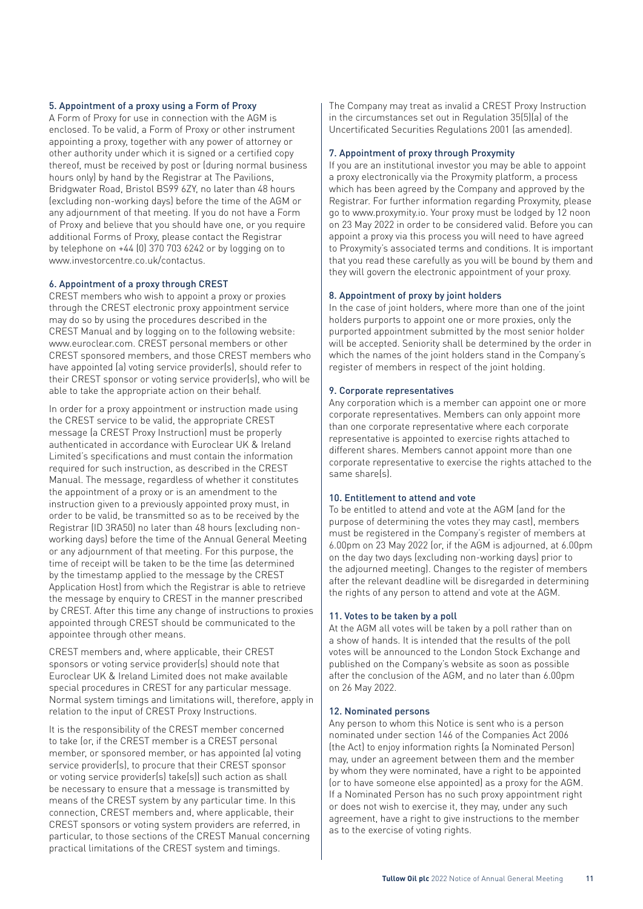#### 5. Appointment of a proxy using a Form of Proxy

A Form of Proxy for use in connection with the AGM is enclosed. To be valid, a Form of Proxy or other instrument appointing a proxy, together with any power of attorney or other authority under which it is signed or a certified copy thereof, must be received by post or (during normal business hours only) by hand by the Registrar at The Pavilions, Bridgwater Road, Bristol BS99 6ZY, no later than 48 hours (excluding non-working days) before the time of the AGM or any adjournment of that meeting. If you do not have a Form of Proxy and believe that you should have one, or you require additional Forms of Proxy, please contact the Registrar by telephone on +44 (0) 370 703 6242 or by logging on to www.investorcentre.co.uk/contactus.

#### 6. Appointment of a proxy through CREST

CREST members who wish to appoint a proxy or proxies through the CREST electronic proxy appointment service may do so by using the procedures described in the CREST Manual and by logging on to the following website: www.euroclear.com. CREST personal members or other CREST sponsored members, and those CREST members who have appointed (a) voting service provider(s), should refer to their CREST sponsor or voting service provider(s), who will be able to take the appropriate action on their behalf.

In order for a proxy appointment or instruction made using the CREST service to be valid, the appropriate CREST message (a CREST Proxy Instruction) must be properly authenticated in accordance with Euroclear UK & Ireland Limited's specifications and must contain the information required for such instruction, as described in the CREST Manual. The message, regardless of whether it constitutes the appointment of a proxy or is an amendment to the instruction given to a previously appointed proxy must, in order to be valid, be transmitted so as to be received by the Registrar (ID 3RA50) no later than 48 hours (excluding nonworking days) before the time of the Annual General Meeting or any adjournment of that meeting. For this purpose, the time of receipt will be taken to be the time (as determined by the timestamp applied to the message by the CREST Application Host) from which the Registrar is able to retrieve the message by enquiry to CREST in the manner prescribed by CREST. After this time any change of instructions to proxies appointed through CREST should be communicated to the appointee through other means.

CREST members and, where applicable, their CREST sponsors or voting service provider(s) should note that Euroclear UK & Ireland Limited does not make available special procedures in CREST for any particular message. Normal system timings and limitations will, therefore, apply in relation to the input of CREST Proxy Instructions.

It is the responsibility of the CREST member concerned to take (or, if the CREST member is a CREST personal member, or sponsored member, or has appointed (a) voting service provider(s), to procure that their CREST sponsor or voting service provider(s) take(s)) such action as shall be necessary to ensure that a message is transmitted by means of the CREST system by any particular time. In this connection, CREST members and, where applicable, their CREST sponsors or voting system providers are referred, in particular, to those sections of the CREST Manual concerning practical limitations of the CREST system and timings.

The Company may treat as invalid a CREST Proxy Instruction in the circumstances set out in Regulation 35(5)(a) of the Uncertificated Securities Regulations 2001 (as amended).

#### 7. Appointment of proxy through Proxymity

If you are an institutional investor you may be able to appoint a proxy electronically via the Proxymity platform, a process which has been agreed by the Company and approved by the Registrar. For further information regarding Proxymity, please go to www.proxymity.io. Your proxy must be lodged by 12 noon on 23 May 2022 in order to be considered valid. Before you can appoint a proxy via this process you will need to have agreed to Proxymity's associated terms and conditions. It is important that you read these carefully as you will be bound by them and they will govern the electronic appointment of your proxy.

#### 8. Appointment of proxy by joint holders

In the case of joint holders, where more than one of the joint holders purports to appoint one or more proxies, only the purported appointment submitted by the most senior holder will be accepted. Seniority shall be determined by the order in which the names of the joint holders stand in the Company's register of members in respect of the joint holding.

#### 9. Corporate representatives

Any corporation which is a member can appoint one or more corporate representatives. Members can only appoint more than one corporate representative where each corporate representative is appointed to exercise rights attached to different shares. Members cannot appoint more than one corporate representative to exercise the rights attached to the same share(s).

#### 10. Entitlement to attend and vote

To be entitled to attend and vote at the AGM (and for the purpose of determining the votes they may cast), members must be registered in the Company's register of members at 6.00pm on 23 May 2022 (or, if the AGM is adjourned, at 6.00pm on the day two days (excluding non-working days) prior to the adjourned meeting). Changes to the register of members after the relevant deadline will be disregarded in determining the rights of any person to attend and vote at the AGM.

#### 11. Votes to be taken by a poll

At the AGM all votes will be taken by a poll rather than on a show of hands. It is intended that the results of the poll votes will be announced to the London Stock Exchange and published on the Company's website as soon as possible after the conclusion of the AGM, and no later than 6.00pm on 26 May 2022.

#### 12. Nominated persons

Any person to whom this Notice is sent who is a person nominated under section 146 of the Companies Act 2006 (the Act) to enjoy information rights (a Nominated Person) may, under an agreement between them and the member by whom they were nominated, have a right to be appointed (or to have someone else appointed) as a proxy for the AGM. If a Nominated Person has no such proxy appointment right or does not wish to exercise it, they may, under any such agreement, have a right to give instructions to the member as to the exercise of voting rights.